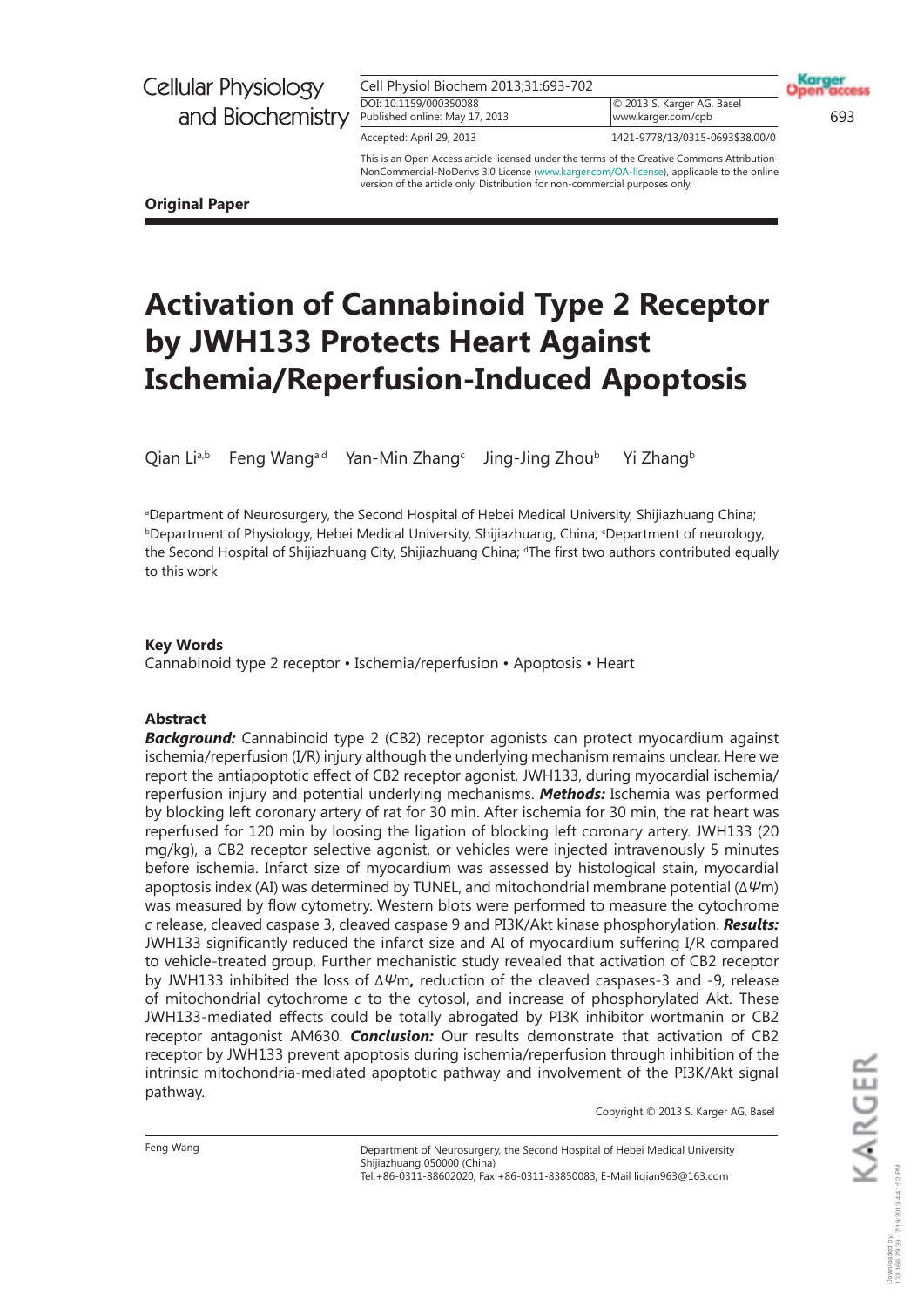| Cell Physiol Biochem 2013;31:693-702 |
|--------------------------------------|
| DOI: 10.1159/000350088               |
| Published online: May 17, 2013       |

© 2013 S. Karger AG, Basel www.karger.com/cpb 693

Karger

Accepted: April 29, 2013 **1421-9778/13/0315-0** 1421-9778/13/0315-0693\$38.00/0

This is an Open Access article licensed under the terms of the Creative Commons Attribution-NonCommercial-NoDerivs 3.0 License (www.karger.com/OA-license), applicable to the online version of the article only. Distribution for non-commercial purposes only.

**Original Paper**

# **Activation of Cannabinoid Type 2 Receptor by JWH133 Protects Heart Against Ischemia/Reperfusion-Induced Apoptosis**

Qian Liª,b Feng Wangª,d Yan-Min Zhang<sup>c</sup> Jing-Jing Zhou<sup>b</sup> Yi Zhang<sup>b</sup>

aDepartment of Neurosurgery, the Second Hospital of Hebei Medical University, Shijiazhuang China; **bDepartment of Physiology, Hebei Medical University, Shijiazhuang, China; 'Department of neurology,** the Second Hospital of Shijiazhuang City, Shijiazhuang China; <sup>d</sup>The first two authors contributed equally to this work

### **Key Words**

Cannabinoid type 2 receptor • Ischemia/reperfusion • Apoptosis • Heart

### **Abstract**

**Background:** Cannabinoid type 2 (CB2) receptor agonists can protect myocardium against ischemia/reperfusion (I/R) injury although the underlying mechanism remains unclear. Here we report the antiapoptotic effect of CB2 receptor agonist, JWH133, during myocardial ischemia/ reperfusion injury and potential underlying mechanisms. **Methods:** Ischemia was performed by blocking left coronary artery of rat for 30 min. After ischemia for 30 min, the rat heart was reperfused for 120 min by loosing the ligation of blocking left coronary artery. JWH133 (20 mg/kg), a CB2 receptor selective agonist, or vehicles were injected intravenously 5 minutes before ischemia. Infarct size of myocardium was assessed by histological stain, myocardial apoptosis index (AI) was determined by TUNEL, and mitochondrial membrane potential ( $\Delta\psi$ m) was measured by flow cytometry. Western blots were performed to measure the cytochrome *c* release, cleaved caspase 3, cleaved caspase 9 and PI3K/Akt kinase phosphorylation. Results: JWH133 significantly reduced the infarct size and AI of myocardium suffering I/R compared to vehicle-treated group. Further mechanistic study revealed that activation of CB2 receptor by JWH133 inhibited the loss of ΔΨm, reduction of the cleaved caspases-3 and -9, release of mitochondrial cytochrome *c* to the cytosol, and increase of phosphorylated Akt. These JWH133-mediated effects could be totally abrogated by PI3K inhibitor wortmanin or CB2 receptor antagonist AM630. *Conclusion:* Our results demonstrate that activation of CB2 receptor by JWH133 prevent apoptosis during ischemia/reperfusion through inhibition of the intrinsic mitochondria-mediated apoptotic pathway and involvement of the PI3K/Akt signal pathway.

Copyright © 2013 S. Karger AG, Basel

Feng Wang

Department of Neurosurgery, the Second Hospital of Hebei Medical University Shijiazhuang 050000 (China) Tel.+86-0311-88602020, Fax +86-0311-83850083, E-Mail liqian963@163.com

KARGER 173.166.79.33 - 7/19/2013 4:41:52 PMDownloaded by: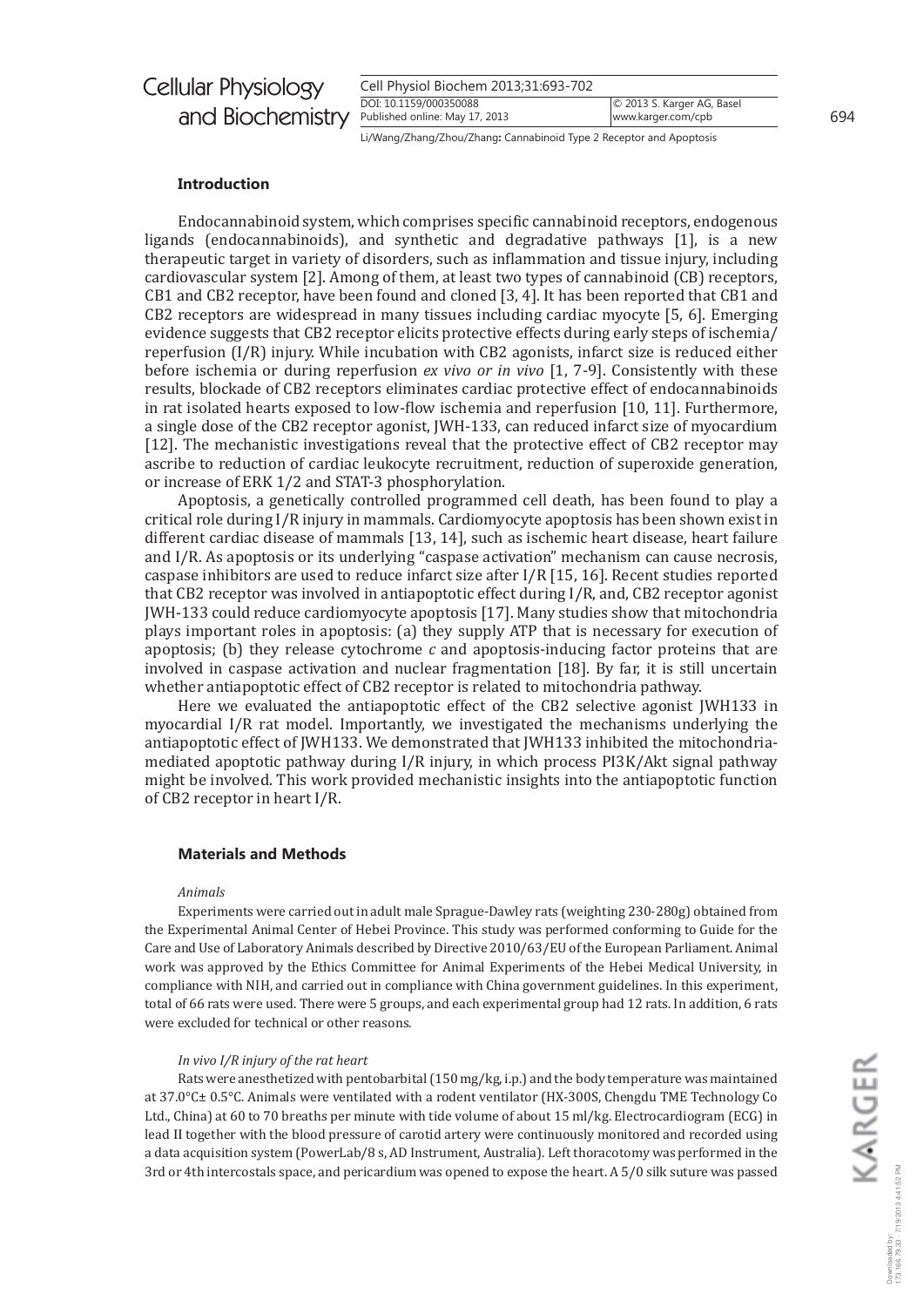| <b>Cellular Physiology</b>                      | Cell Physiol Biochem 2013;31:693-702 |                            |  |
|-------------------------------------------------|--------------------------------------|----------------------------|--|
|                                                 | DOI: 10.1159/000350088               | © 2013 S. Karger AG, Basel |  |
| and Biochemistry Published online: May 17, 2013 |                                      | www.karger.com/cpb         |  |

Li/Wang/Zhang/Zhou/Zhang: Cannabinoid Type 2 Receptor and Apoptosis

### **Introduction**

Endocannabinoid system, which comprises specific cannabinoid receptors, endogenous ligands (endocannabinoids), and synthetic and degradative pathways [1], is a new therapeutic target in variety of disorders, such as inflammation and tissue injury, including cardiovascular system [2]. Among of them, at least two types of cannabinoid (CB) receptors, CB1 and CB2 receptor, have been found and cloned [3, 4]. It has been reported that CB1 and CB2 receptors are widespread in many tissues including cardiac myocyte [5, 6]. Emerging evidence suggests that CB2 receptor elicits protective effects during early steps of ischemia/ reperfusion (I/R) injury. While incubation with CB2 agonists, infarct size is reduced either before ischemia or during reperfusion ex vivo or in vivo [1, 7-9]. Consistently with these results, blockade of CB2 receptors eliminates cardiac protective effect of endocannabinoids in rat isolated hearts exposed to low-flow ischemia and reperfusion [10, 11]. Furthermore, a single dose of the CB2 receptor agonist, JWH-133, can reduced infarct size of myocardium [12]. The mechanistic investigations reveal that the protective effect of CB2 receptor may ascribe to reduction of cardiac leukocyte recruitment, reduction of superoxide generation, or increase of ERK 1/2 and STAT-3 phosphorylation.

Apoptosis, a genetically controlled programmed cell death, has been found to play a critical role during I/R injury in mammals. Cardiomyocyte apoptosis has been shown exist in different cardiac disease of mammals [13, 14], such as ischemic heart disease, heart failure and I/R. As apoptosis or its underlying "caspase activation" mechanism can cause necrosis, caspase inhibitors are used to reduce infarct size after I/R [15, 16]. Recent studies reported that CB2 receptor was involved in antiapoptotic effect during I/R, and, CB2 receptor agonist JWH-133 could reduce cardiomyocyte apoptosis [17]. Many studies show that mitochondria plays important roles in apoptosis: (a) they supply ATP that is necessary for execution of apoptosis; (b) they release cytochrome  $c$  and apoptosis-inducing factor proteins that are involved in caspase activation and nuclear fragmentation [18]. By far, it is still uncertain whether antiapoptotic effect of CB2 receptor is related to mitochondria pathway.

Here we evaluated the antiapoptotic effect of the CB2 selective agonist JWH133 in myocardial I/R rat model. Importantly, we investigated the mechanisms underlying the antiapoptotic effect of JWH133. We demonstrated that JWH133 inhibited the mitochondriamediated apoptotic pathway during I/R injury, in which process PI3K/Akt signal pathway might be involved. This work provided mechanistic insights into the antiapoptotic function of CB2 receptor in heart I/R.

#### **Materials and Methods**

#### Animals

Experiments were carried out in adult male Sprague-Dawley rats (weighting 230-280g) obtained from the Experimental Animal Center of Hebei Province. This study was performed conforming to Guide for the Care and Use of Laboratory Animals described by Directive 2010/63/EU of the European Parliament. Animal work was approved by the Ethics Committee for Animal Experiments of the Hebei Medical University, in compliance with NIH, and carried out in compliance with China government guidelines. In this experiment, total of 66 rats were used. There were 5 groups, and each experimental group had 12 rats. In addition, 6 rats were excluded for technical or other reasons.

#### In vivo I/R injury of the rat heart

Rats were anesthetized with pentobarbital (150 mg/kg, i.p.) and the body temperature was maintained at 37.0°C± 0.5°C. Animals were ventilated with a rodent ventilator (HX-300S, Chengdu TME Technology Co Ltd., China) at 60 to 70 breaths per minute with tide volume of about 15 ml/kg. Electrocardiogram (ECG) in lead II together with the blood pressure of carotid artery were continuously monitored and recorded using a data acquisition system (PowerLab/8 s, AD Instrument, Australia). Left thoracotomy was performed in the 3rd or 4th intercostals space, and pericardium was opened to expose the heart. A 5/0 silk suture was passed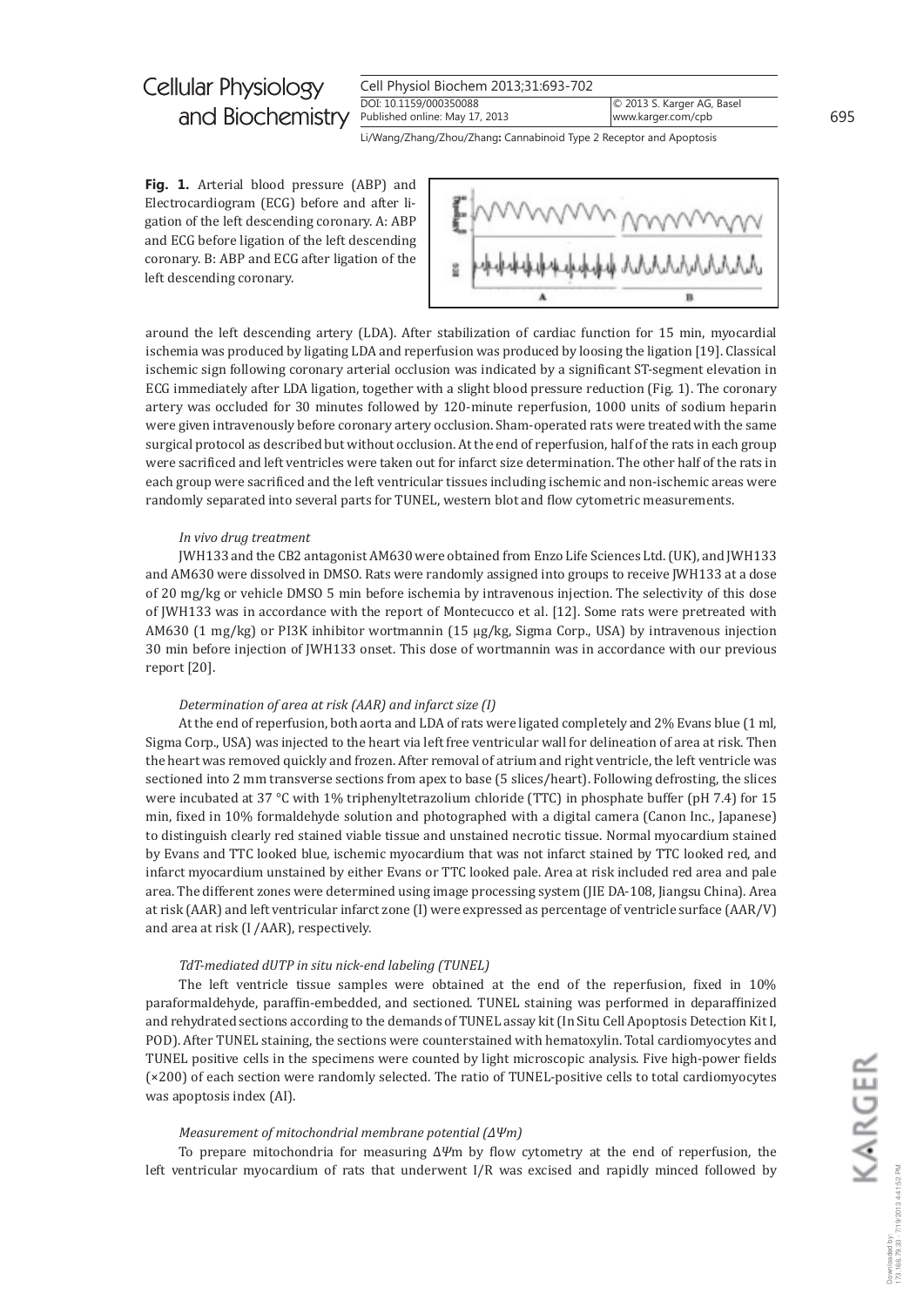| Cell Physiol Biochem 2013;31:693-702 |  |  |
|--------------------------------------|--|--|
| DOI: 10.1159/000350088               |  |  |
| Published online: May 17, 2013       |  |  |

Li/Wang/Zhang/Zhou/Zhang: Cannabinoid Type 2 Receptor and Apoptosis

Fig. 1. Arterial blood pressure (ABP) and Electrocardiogram (ECG) before and after ligation of the left descending coronary. A: ABP and ECG before ligation of the left descending coronary. B: ABP and ECG after ligation of the left descending coronary.



around the left descending artery (LDA). After stabilization of cardiac function for 15 min, myocardial ischemia was produced by ligating LDA and reperfusion was produced by loosing the ligation [19]. Classical ischemic sign following coronary arterial occlusion was indicated by a significant ST-segment elevation in ECG immediately after LDA ligation, together with a slight blood pressure reduction (Fig. 1). The coronary artery was occluded for 30 minutes followed by 120-minute reperfusion, 1000 units of sodium heparin were given intravenously before coronary artery occlusion. Sham-operated rats were treated with the same surgical protocol as described but without occlusion. At the end of reperfusion, half of the rats in each group were sacrificed and left ventricles were taken out for infarct size determination. The other half of the rats in each group were sacrificed and the left ventricular tissues including ischemic and non-ischemic areas were randomly separated into several parts for TUNEL, western blot and flow cytometric measurements.

#### In vivo drug treatment

[WH133 and the CB2 antagonist AM630 were obtained from Enzo Life Sciences Ltd. (UK), and JWH133 and AM630 were dissolved in DMSO. Rats were randomly assigned into groups to receive [WH133 at a dose of 20 mg/kg or vehicle DMSO 5 min before ischemia by intravenous injection. The selectivity of this dose of JWH133 was in accordance with the report of Montecucco et al. [12]. Some rats were pretreated with AM630 (1 mg/kg) or PI3K inhibitor wortmannin (15  $\mu$ g/kg, Sigma Corp., USA) by intravenous injection 30 min before injection of JWH133 onset. This dose of wortmannin was in accordance with our previous report [20].

#### Determination of area at risk (AAR) and infarct size (I)

At the end of reperfusion, both aorta and LDA of rats were ligated completely and 2% Evans blue (1 ml, Sigma Corp., USA) was injected to the heart via left free ventricular wall for delineation of area at risk. Then the heart was removed quickly and frozen. After removal of atrium and right ventricle, the left ventricle was sectioned into 2 mm transverse sections from apex to base (5 slices/heart). Following defrosting, the slices were incubated at 37 °C with 1% triphenyltetrazolium chloride (TTC) in phosphate buffer (pH 7.4) for 15 min, fixed in 10% formaldehyde solution and photographed with a digital camera (Canon Inc., Japanese) to distinguish clearly red stained viable tissue and unstained necrotic tissue. Normal myocardium stained by Evans and TTC looked blue, ischemic myocardium that was not infarct stained by TTC looked red, and infarct myocardium unstained by either Evans or TTC looked pale. Area at risk included red area and pale area. The different zones were determined using image processing system (JIE DA-108, Jiangsu China). Area at risk (AAR) and left ventricular infarct zone (I) were expressed as percentage of ventricle surface (AAR/V) and area at risk (I /AAR), respectively.

#### TdT-mediated dUTP in situ nick-end labeling (TUNEL)

The left ventricle tissue samples were obtained at the end of the reperfusion, fixed in 10% paraformaldehyde, paraffin-embedded, and sectioned. TUNEL staining was performed in deparaffinized and rehydrated sections according to the demands of TUNEL assay kit (In Situ Cell Apoptosis Detection Kit I, POD). After TUNEL staining, the sections were counterstained with hematoxylin. Total cardiomyocytes and TUNEL positive cells in the specimens were counted by light microscopic analysis. Five high-power fields (×200) of each section were randomly selected. The ratio of TUNEL-positive cells to total cardiomyocytes was apoptosis index (AI).

#### Measurement of mitochondrial membrane potential  $(\Delta \Psi m)$

To prepare mitochondria for measuring  $\Delta \Psi$ m by flow cytometry at the end of reperfusion, the left ventricular myocardium of rats that underwent I/R was excised and rapidly minced followed by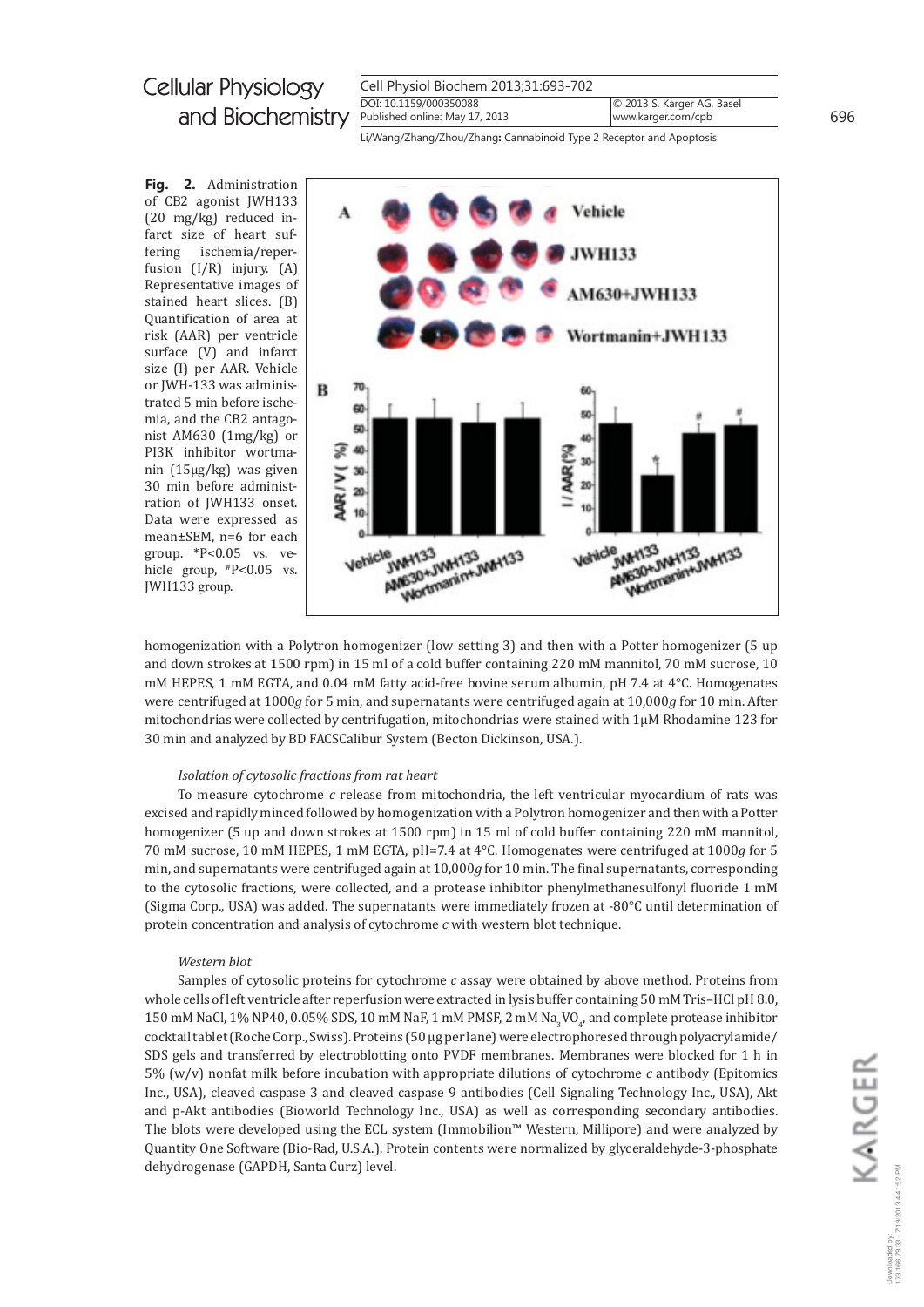| Cell Physiol Biochem 2013;31:693-702                     |                                                  |
|----------------------------------------------------------|--------------------------------------------------|
| DOI: 10.1159/000350088<br>Published online: May 17, 2013 | © 2013 S. Karger AG, Basel<br>www.karger.com/cpb |
|                                                          |                                                  |

Li/Wang/Zhang/Zhou/Zhang: Cannabinoid Type 2 Receptor and Apoptosis

Fig. 2. Administration of CB2 agonist JWH133  $(20 \text{ mg/kg})$  reduced infarct size of heart sufischemia/reperfering fusion  $(I/R)$  injury.  $(A)$ Representative images of stained heart slices. (B) Quantification of area at risk (AAR) per ventricle surface (V) and infarct size (I) per AAR. Vehicle or JWH-133 was administrated 5 min before ischemia, and the CB2 antagonist AM630 (1mg/kg) or PI3K inhibitor wortmanin  $(15\mu g/kg)$  was given 30 min before administration of JWH133 onset. Data were expressed as mean±SEM, n=6 for each group.  $*P<0.05$  vs. vehicle group,  $P<0.05$  vs. JWH133 group.



homogenization with a Polytron homogenizer (low setting 3) and then with a Potter homogenizer (5 up and down strokes at 1500 rpm) in 15 ml of a cold buffer containing 220 mM mannitol, 70 mM sucrose, 10 mM HEPES, 1 mM EGTA, and 0.04 mM fatty acid-free bovine serum albumin, pH 7.4 at 4°C. Homogenates were centrifuged at 1000g for 5 min, and supernatants were centrifuged again at 10,000g for 10 min. After mitochondrias were collected by centrifugation, mitochondrias were stained with  $1\mu$ M Rhodamine 123 for 30 min and analyzed by BD FACSCalibur System (Becton Dickinson, USA.).

#### Isolation of cytosolic fractions from rat heart

To measure cytochrome  $c$  release from mitochondria, the left ventricular myocardium of rats was excised and rapidly minced followed by homogenization with a Polytron homogenizer and then with a Potter homogenizer (5 up and down strokes at 1500 rpm) in 15 ml of cold buffer containing 220 mM mannitol. 70 mM sucrose, 10 mM HEPES, 1 mM EGTA, pH=7.4 at 4°C. Homogenates were centrifuged at 1000g for 5 min, and supernatants were centrifuged again at 10,000g for 10 min. The final supernatants, corresponding to the cytosolic fractions, were collected, and a protease inhibitor phenylmethanesulfonyl fluoride 1 mM (Sigma Corp., USA) was added. The supernatants were immediately frozen at -80°C until determination of protein concentration and analysis of cytochrome  $c$  with western blot technique.

#### Western blot

Samples of cytosolic proteins for cytochrome c assay were obtained by above method. Proteins from whole cells of left ventricle after reperfusion were extracted in lysis buffer containing 50 mM Tris-HCl pH 8.0, 150 mM NaCl, 1% NP40, 0.05% SDS, 10 mM NaF, 1 mM PMSF, 2 mM Na<sub>2</sub>VO<sub>a</sub>, and complete protease inhibitor cocktail tablet (Roche Corp., Swiss). Proteins (50 µg per lane) were electrophoresed through polyacrylamide/ SDS gels and transferred by electroblotting onto PVDF membranes. Membranes were blocked for 1 h in 5% (w/v) nonfat milk before incubation with appropriate dilutions of cytochrome  $c$  antibody (Epitomics Inc., USA), cleaved caspase 3 and cleaved caspase 9 antibodies (Cell Signaling Technology Inc., USA), Akt and p-Akt antibodies (Bioworld Technology Inc., USA) as well as corresponding secondary antibodies. The blots were developed using the ECL system (Immobilion™ Western, Millipore) and were analyzed by Quantity One Software (Bio-Rad, U.S.A.). Protein contents were normalized by glyceraldehyde-3-phosphate dehydrogenase (GAPDH, Santa Curz) level.

696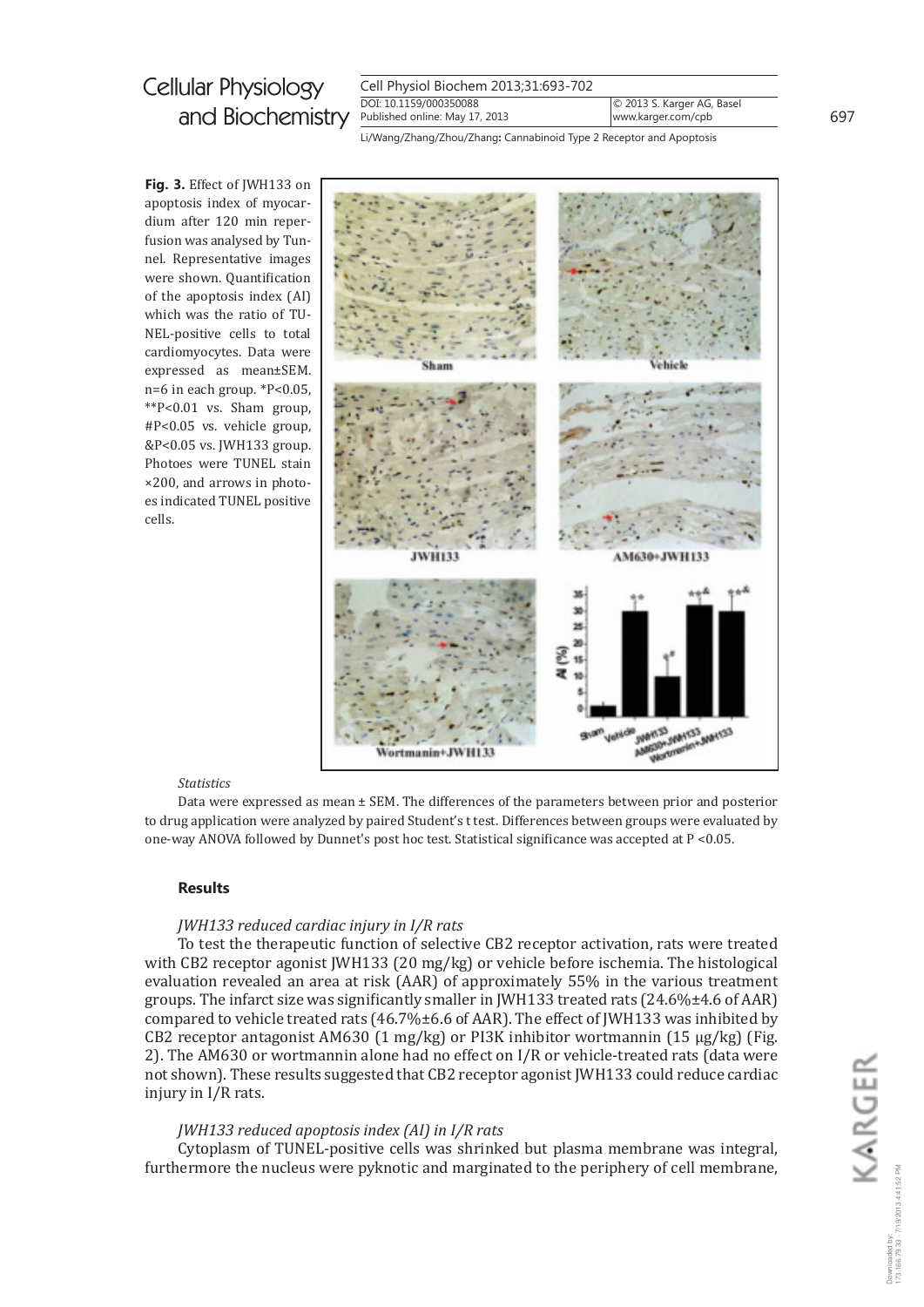| Cell Physiol Biochem 2013;31:693-702 |                            |
|--------------------------------------|----------------------------|
| DOI: 10.1159/000350088               | © 2013 S. Karger AG, Basel |
| Published online: May 17, 2013       | www.karger.com/cpb         |

Li/Wang/Zhang/Zhou/Zhang: Cannabinoid Type 2 Receptor and Apoptosis

Fig. 3. Effect of JWH133 on apoptosis index of myocardium after 120 min reperfusion was analysed by Tunnel. Representative images were shown. Quantification of the apoptosis index (AI) which was the ratio of TU-NEL-positive cells to total cardiomyocytes. Data were expressed as mean±SEM. n=6 in each group. \*P<0.05, \*\*P<0.01 vs. Sham group,  $\text{\#P}<0.05$  vs. vehicle group, &P<0.05 vs. JWH133 group. Photoes were TUNEL stain ×200, and arrows in photoes indicated TUNEL positive cells.



#### **Statistics**

Data were expressed as mean ± SEM. The differences of the parameters between prior and posterior to drug application were analyzed by paired Student's t test. Differences between groups were evaluated by one-way ANOVA followed by Dunnet's post hoc test. Statistical significance was accepted at P <0.05.

#### **Results**

### JWH133 reduced cardiac injury in I/R rats

To test the therapeutic function of selective CB2 receptor activation, rats were treated with CB2 receptor agonist JWH133 (20 mg/kg) or vehicle before ischemia. The histological evaluation revealed an area at risk (AAR) of approximately 55% in the various treatment groups. The infarct size was significantly smaller in JWH133 treated rats  $(24.6\% \pm 4.6 \text{ of AAR})$ compared to vehicle treated rats  $(46.7\% \pm 6.6 \text{ of AAR})$ . The effect of JWH133 was inhibited by CB2 receptor antagonist AM630 (1 mg/kg) or PI3K inhibitor wortmannin (15  $\mu$ g/kg) (Fig. 2). The AM630 or wortmannin alone had no effect on I/R or vehicle-treated rats (data were not shown). These results suggested that CB2 receptor agonist JWH133 could reduce cardiac injury in I/R rats.

### JWH133 reduced apoptosis index (AI) in I/R rats

Cytoplasm of TUNEL-positive cells was shrinked but plasma membrane was integral. furthermore the nucleus were pyknotic and marginated to the periphery of cell membrane, 697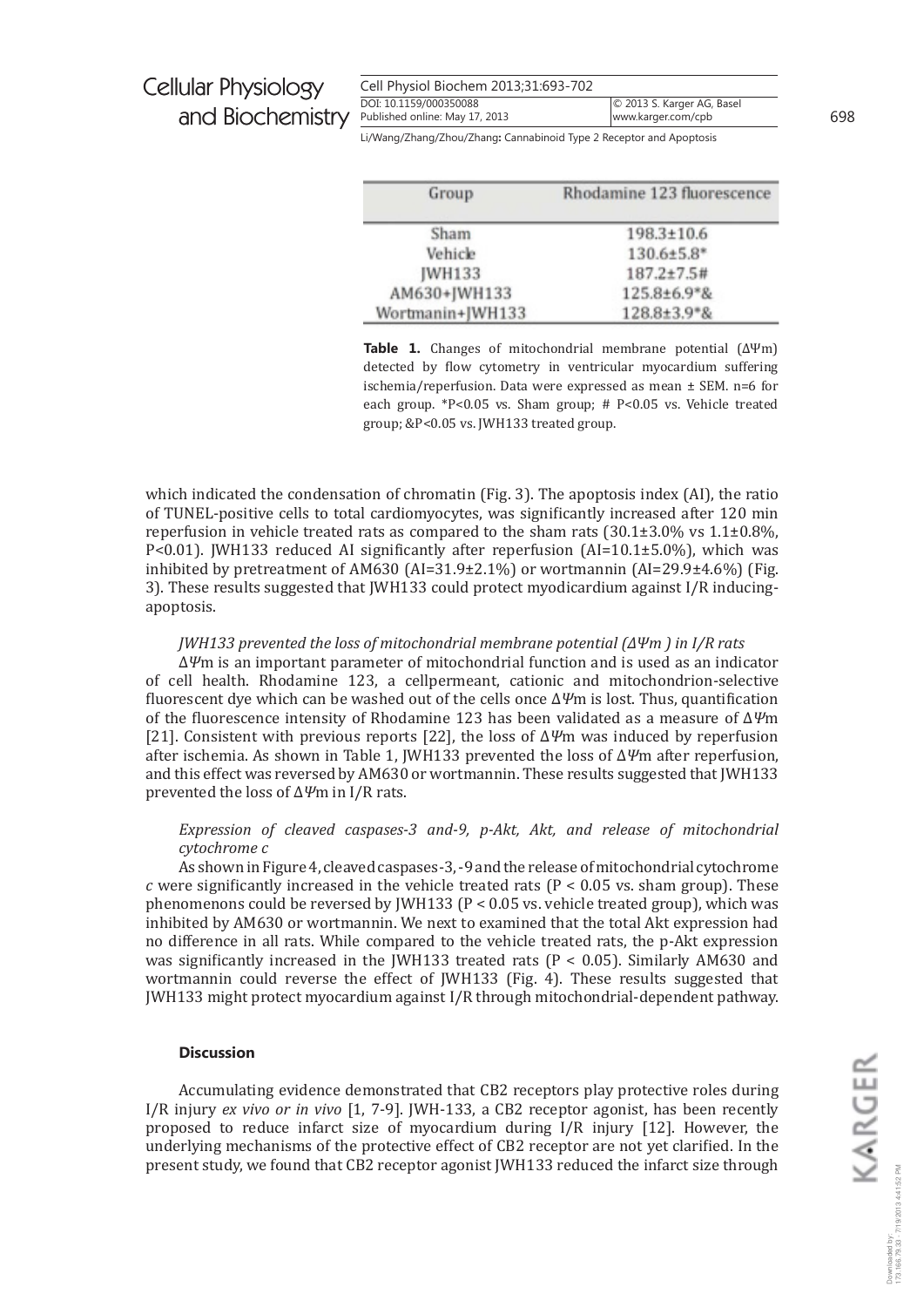| Cell Physiol Biochem 2013;31:693-702 |                            |
|--------------------------------------|----------------------------|
| DOI: 10.1159/000350088               | © 2013 S. Karger AG, Basel |
| Published online: May 17, 2013       | www.karger.com/cpb         |

698

Li/Wang/Zhang/Zhou/Zhang: Cannabinoid Type 2 Receptor and Apoptosis

| Rhodamine 123 fluorescence |
|----------------------------|
| 198.3±10.6                 |
| 130.6±5.8*                 |
| 187.2±7.5#                 |
| 125.8±6.9*&                |
| 128.8±3.9*&                |
|                            |

Table 1. Changes of mitochondrial membrane potential  $(\Delta \Psi m)$ detected by flow cytometry in ventricular myocardium suffering ischemia/reperfusion. Data were expressed as mean  $\pm$  SEM. n=6 for each group. \*P<0.05 vs. Sham group; #  $P<0.05$  vs. Vehicle treated group; &P<0.05 vs. JWH133 treated group.

which indicated the condensation of chromatin (Fig. 3). The apoptosis index (AI), the ratio of TUNEL-positive cells to total cardiomy ocytes, was significantly increased after 120 min reperfusion in vehicle treated rats as compared to the sham rats  $(30.1\pm3.0\% \text{ vs } 1.1\pm0.8\%)$ , P<0.01). JWH133 reduced AI significantly after reperfusion (AI=10.1±5.0%), which was inhibited by pretreatment of AM630 (AI=31.9±2.1%) or wortmannin (AI=29.9±4.6%) (Fig. 3). These results suggested that JWH133 could protect myodicardium against I/R inducingapoptosis.

#### *JWH133* prevented the loss of mitochondrial membrane potential  $(\Delta \Psi m)$  in I/R rats

 $\Delta \psi$ m is an important parameter of mitochondrial function and is used as an indicator of cell health. Rhodamine 123, a cellpermeant, cationic and mitochondrion-selective fluorescent dye which can be washed out of the cells once  $\Delta \Psi$ m is lost. Thus, quantification of the fluorescence intensity of Rhodamine 123 has been validated as a measure of  $\Delta \Psi$ m [21]. Consistent with previous reports [22], the loss of  $\Delta \Psi$ m was induced by reperfusion after ischemia. As shown in Table 1, JWH133 prevented the loss of  $\Delta \Psi$ m after reperfusion, and this effect was reversed by AM630 or wortmannin. These results suggested that [WH133] prevented the loss of  $\Delta \Psi$ m in I/R rats.

### Expression of cleaved caspases-3 and-9, p-Akt, Akt, and release of mitochondrial cytochrome c

As shown in Figure 4, cleaved caspases-3, -9 and the release of mitochondrial cytochrome c were significantly increased in the vehicle treated rats ( $P < 0.05$  vs. sham group). These phenomenons could be reversed by JWH133 ( $P < 0.05$  vs. vehicle treated group), which was inhibited by AM630 or wortmannin. We next to examined that the total Akt expression had no difference in all rats. While compared to the vehicle treated rats, the p-Akt expression was significantly increased in the [WH133 treated rats ( $P < 0.05$ ). Similarly AM630 and wortmannin could reverse the effect of JWH133 (Fig. 4). These results suggested that JWH133 might protect myocardium against I/R through mitochondrial-dependent pathway.

#### **Discussion**

Accumulating evidence demonstrated that CB2 receptors play protective roles during I/R injury ex vivo or in vivo  $[1, 7-9]$ . JWH-133, a CB2 receptor agonist, has been recently proposed to reduce infarct size of myocardium during I/R injury [12]. However, the underlying mechanisms of the protective effect of CB2 receptor are not yet clarified. In the present study, we found that CB2 receptor agonist JWH133 reduced the infarct size through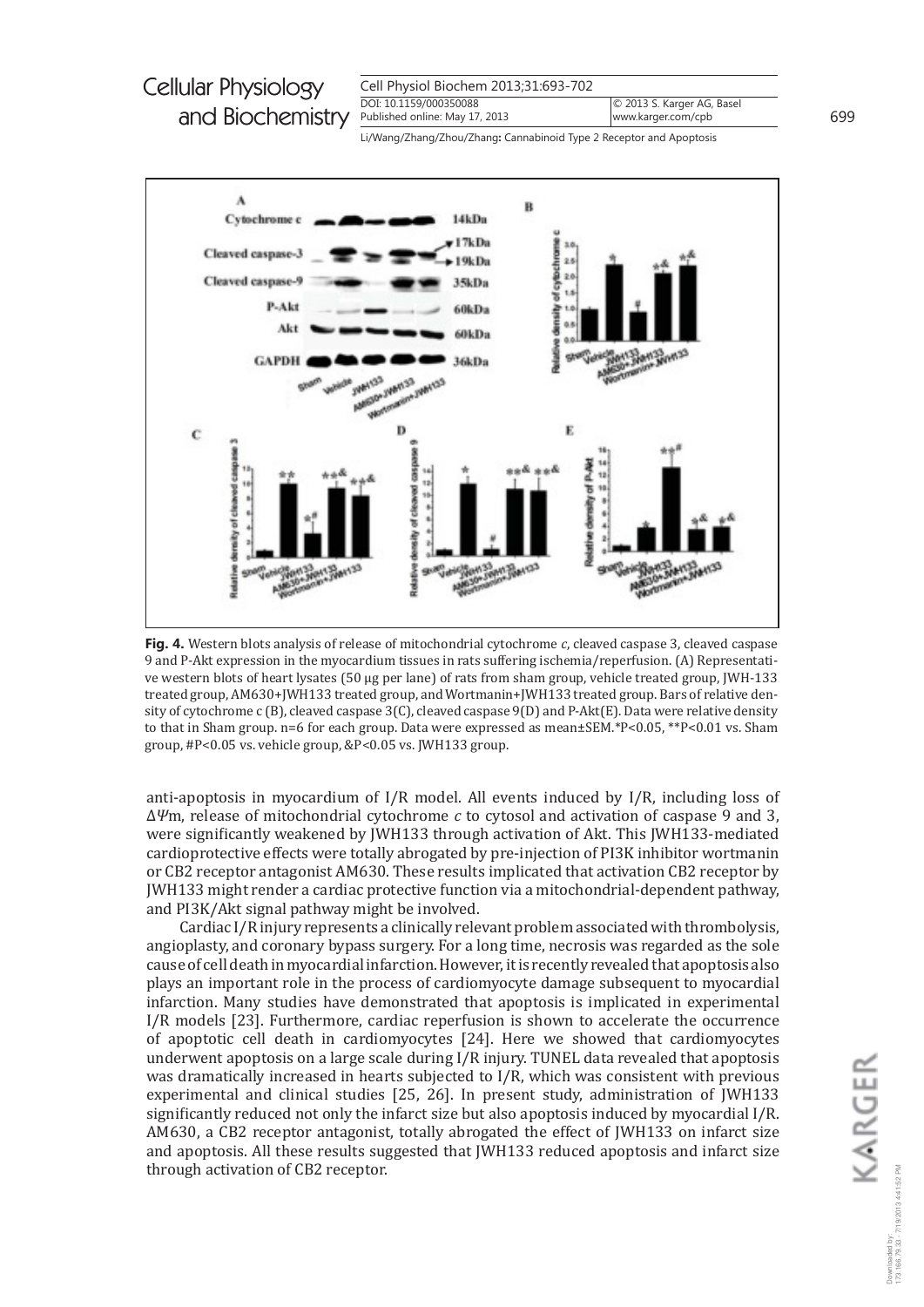

Li/Wang/Zhang/Zhou/Zhang: Cannabinoid Type 2 Receptor and Apoptosis



Fig. 4. Western blots analysis of release of mitochondrial cytochrome  $c$ , cleaved caspase 3, cleaved caspase 9 and P-Akt expression in the myocardium tissues in rats suffering ischemia/reperfusion. (A) Representative western blots of heart lysates (50 μg per lane) of rats from sham group, vehicle treated group, [WH-133] treated group, AM630+JWH133 treated group, and Wortmanin+JWH133 treated group. Bars of relative density of cytochrome c (B), cleaved caspase 3(C), cleaved caspase 9(D) and P-Akt(E). Data were relative density to that in Sham group. n=6 for each group. Data were expressed as mean±SEM.\*P<0.05,\*\*P<0.01 vs. Sham group, #P<0.05 vs. vehicle group, &P<0.05 vs. JWH133 group.

anti-apoptosis in myocardium of I/R model. All events induced by I/R, including loss of  $\Delta \Psi$ m, release of mitochondrial cytochrome c to cytosol and activation of caspase 9 and 3, were significantly weakened by JWH133 through activation of Akt. This JWH133-mediated cardioprotective effects were totally abrogated by pre-injection of PI3K inhibitor wortmanin or CB2 receptor antagonist AM630. These results implicated that activation CB2 receptor by JWH133 might render a cardiac protective function via a mitochondrial-dependent pathway, and PI3K/Akt signal pathway might be involved.

Cardiac I/R injury represents a clinically relevant problem associated with thrombolysis, angioplasty, and coronary bypass surgery. For a long time, necrosis was regarded as the sole cause of cell death in myocardial infarction. However, it is recently revealed that apoptosis also plays an important role in the process of cardiomy ocyte damage subsequent to my ocardial infarction. Many studies have demonstrated that apoptosis is implicated in experimental I/R models [23]. Furthermore, cardiac reperfusion is shown to accelerate the occurrence of apoptotic cell death in cardiomyocytes [24]. Here we showed that cardiomyocytes underwent apoptosis on a large scale during  $I/R$  injury. TUNEL data revealed that apoptosis was dramatically increased in hearts subjected to I/R, which was consistent with previous experimental and clinical studies [25, 26]. In present study, administration of JWH133 significantly reduced not only the infarct size but also apoptosis induced by myocardial I/R. AM630, a CB2 receptor antagonist, totally abrogated the effect of JWH133 on infarct size and apoptosis. All these results suggested that JWH133 reduced apoptosis and infarct size through activation of CB2 receptor.

699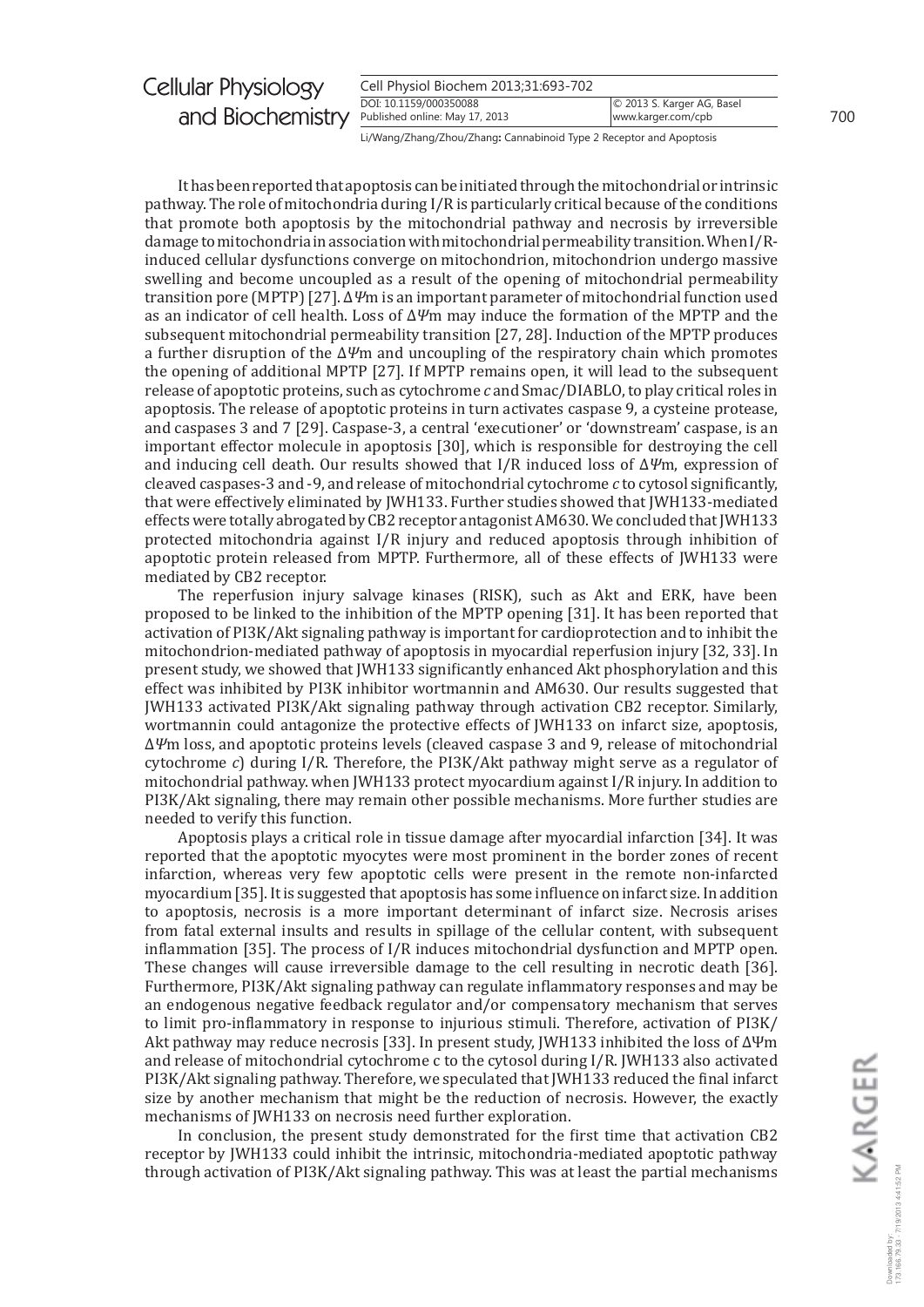| <b>Cellular Physiology</b>                      | Cell Physiol Biochem 2013;31:693-702 |                            |     |
|-------------------------------------------------|--------------------------------------|----------------------------|-----|
|                                                 | DOI: 10.1159/000350088               | © 2013 S. Karger AG, Basel |     |
| and Biochemistry Published online: May 17, 2013 |                                      | www.karger.com/cpb         | 700 |

Li/Wang/Zhang/Zhou/Zhang**:** Cannabinoid Type 2 Receptor and Apoptosis

It has been reported that apoptosis can be initiated through the mitochondrial or intrinsic pathway. The role of mitochondria during  $I/R$  is particularly critical because of the conditions that promote both apoptosis by the mitochondrial pathay and necrosis by irreersible damage to mitochondria in association with mitochondrial permeability transition. When I/Rinduced cellular dysfunctions converge on mitochondrion, mitochondrion undergo massive swelling and become uncoupled as a result of the opening of mitochondrial permeability transition pore (MPTP) [27]. ΔΨm is an important parameter of mitochondrial function used as an indicator of cell health. Loss of  $\Delta \Psi$ m may induce the formation of the MPTP and the subsequent mitochondrial permeability transition [27, 28]. Induction of the MPTP produces a further disruption of the  $\Delta \psi$ m and uncoupling of the respiratory chain which promotes the opening of additional MPTP [27]. If MPTP remains open, it will lead to the subsequent release of apoptotic proteins, such as cytochrome *c* and Smac/DIABLO, to play critical roles in apoptosis. The release of apoptotic proteins in turn activates caspase 9, a cysteine protease, and caspases 3 and 7 [29]. Caspase-3, a central 'executioner' or 'downstream' caspase, is an important effector molecule in apoptosis [30], which is responsible for destroying the cell and inducing cell death. Our results showed that  $I/R$  induced loss of  $\Delta \Psi m$ , expression of cleaved caspases-3 and -9, and release of mitochondrial cytochrome *c* to cytosol significantly, that were effectively eliminated by JWH133. Further studies showed that JWH133-mediated effects were totally abrogated by CB2 receptor antagonist AM630. We concluded that JWH133 protected mitochondria against  $I/R$  injury and reduced apoptosis through inhibition of apoptotic protein released from MPTP. Furthermore, all of these effects of JWH133 were

mediated by CB2 receptor. The reperfusion injury salvage kinases (RISK), such as Akt and ERK, have been proposed to be linked to the inhibition of the MPTP opening [31]. It has been reported that activation of PI3K/Akt signaling pathway is important for cardioprotection and to inhibit the mitochondrion-mediated pathway of apoptosis in myocardial reperfusion injury [32, 33]. In present study, we showed that JWH133 significantly enhanced Akt phosphorylation and this effect was inhibited by PI3K inhibitor wortmannin and AM630. Our results suggested that [WH133 activated PI3K/Akt signaling pathway through activation CB2 receptor. Similarly, wortmannin could antagonize the protective effects of JWH133 on infarct size, apoptosis,  $Δ$ <sup> $ψ$ </sup>m loss, and apoptotic proteins levels (cleaved caspase 3 and 9, release of mitochondrial cytochrome *c*) during I/R. Therefore, the PI3K/Akt pathway might serve as a regulator of mitochondrial pathway. when JWH133 protect myocardium against I/R injury. In addition to PI3K/Akt signaling, there may remain other possible mechanisms. More further studies are needed to verify this function.

Apoptosis plays a critical role in tissue damage after myocardial infarction [34]. It was reported that the apoptotic myocytes were most prominent in the border zones of recent infarction, whereas very few apoptotic cells were present in the remote non-infarcted myocardium [35]. It is suggested that apoptosis has some influence on infarct size. In addition to apoptosis, necrosis is a more important determinant of infarct size. Necrosis arises from fatal external insults and results in spillage of the cellular content, with subsequent inflammation [35]. The process of  $I/R$  induces mitochondrial dysfunction and MPTP open. These changes will cause irreversible damage to the cell resulting in necrotic death [36]. Furthermore, PI3K/Akt signaling pathway can regulate inflammatory responses and may be an endogenous negative feedback regulator and/or compensatory mechanism that serves to limit pro-inflammatory in response to injurious stimuli. Therefore, activation of PI3K/ Akt pathway may reduce necrosis [33]. In present study, JWH133 inhibited the loss of  $\Delta \Psi$ m and release of mitochondrial cytochrome c to the cytosol during I/R. JWH133 also activated PI3K/Akt signaling pathway. Therefore, we speculated that JWH133 reduced the final infarct size by another mechanism that might be the reduction of necrosis. However, the exactly mechanisms of JWH133 on necrosis need further exploration.

In conclusion, the present study demonstrated for the first time that activation CB2 receptor by [WH133 could inhibit the intrinsic, mitochondria-mediated apoptotic pathway through activation of PI3K/Akt signaling pathway. This was at least the partial mechanisms KARGER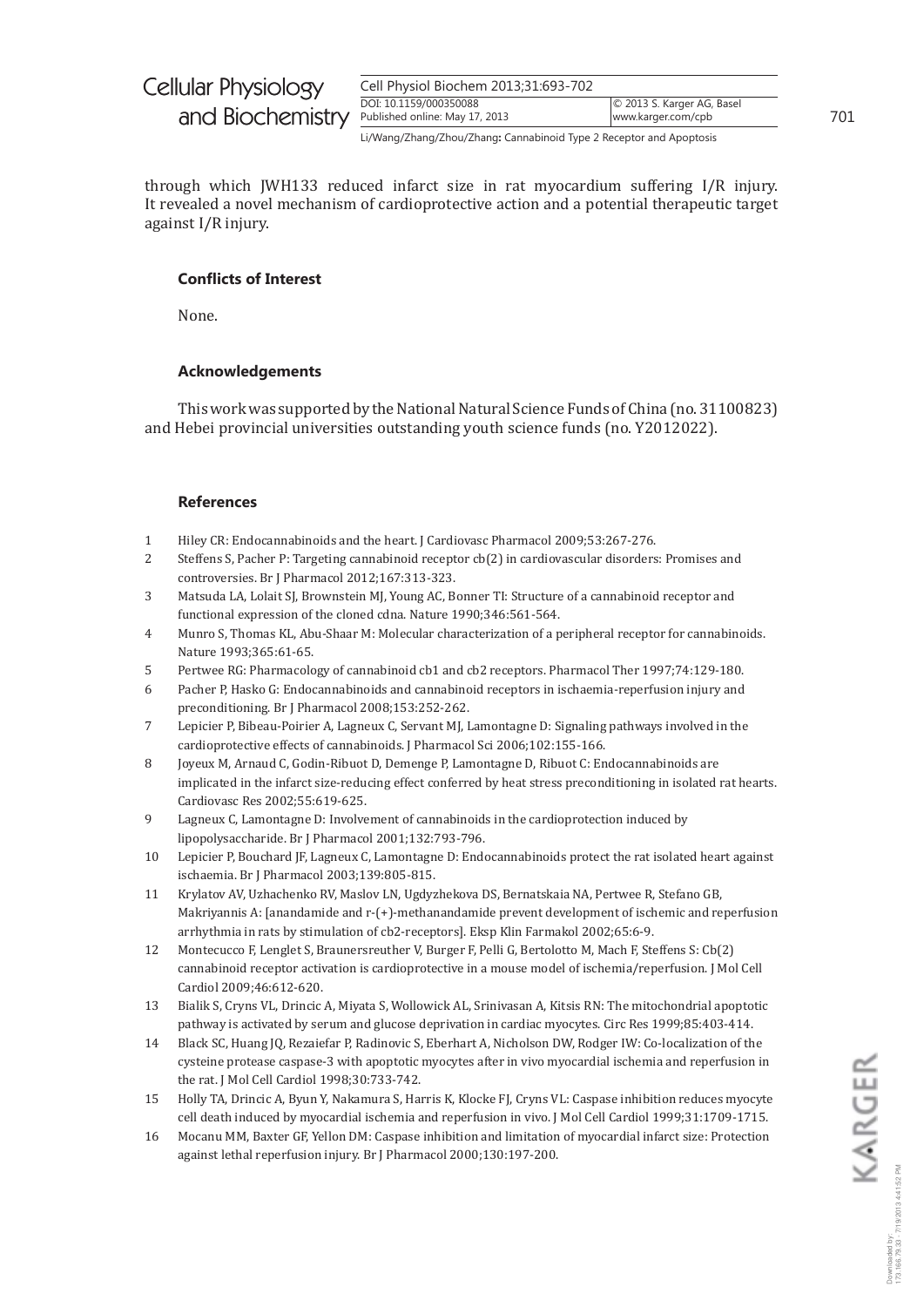| Cell Physiol Biochem 2013;31:693-702 |                            |
|--------------------------------------|----------------------------|
| DOI: 10.1159/000350088               | © 2013 S. Karger AG, Basel |
| Published online: May 17, 2013       | www.karger.com/cpb         |
|                                      |                            |

Li/Wang/Zhang/Zhou/Zhang: Cannabinoid Type 2 Receptor and Apoptosis

through which JWH133 reduced infarct size in rat myocardium suffering I/R injury. It revealed a novel mechanism of cardioprotective action and a potential therapeutic target against I/R injury.

## **Conflicts of Interest**

None.

## **Acknowledgements**

This work was supported by the National Natural Science Funds of China (no. 31100823) and Hebei provincial universities outstanding youth science funds (no. Y2012022).

## **References**

- $\mathbf{1}$ Hiley CR: Endocannabinoids and the heart. J Cardiovasc Pharmacol 2009;53:267-276.
- $\overline{2}$ Steffens S, Pacher P: Targeting cannabinoid receptor cb(2) in cardiovascular disorders: Promises and controversies. Br J Pharmacol 2012;167:313-323.
- 3 Matsuda LA, Lolait SJ, Brownstein MJ, Young AC, Bonner TI: Structure of a cannabinoid receptor and functional expression of the cloned cdna. Nature 1990;346:561-564.
- $\overline{4}$ Munro S, Thomas KL, Abu-Shaar M: Molecular characterization of a peripheral receptor for cannabinoids. Nature 1993;365:61-65.
- Pertwee RG: Pharmacology of cannabinoid cb1 and cb2 receptors. Pharmacol Ther 1997;74:129-180. 5
- Pacher P, Hasko G: Endocannabinoids and cannabinoid receptors in ischaemia-reperfusion injury and 6 preconditioning. Br J Pharmacol 2008;153:252-262.
- $\overline{7}$ Lepicier P, Bibeau-Poirier A, Lagneux C, Servant MJ, Lamontagne D: Signaling pathways involved in the cardioprotective effects of cannabinoids. J Pharmacol Sci 2006;102:155-166.
- $\mathsf{R}$ Joyeux M, Arnaud C, Godin-Ribuot D, Demenge P, Lamontagne D, Ribuot C: Endocannabinoids are implicated in the infarct size-reducing effect conferred by heat stress preconditioning in isolated rat hearts. Cardiovasc Res 2002;55:619-625.
- $\mathbf{q}$ Lagneux C, Lamontagne D: Involvement of cannabinoids in the cardioprotection induced by lipopolysaccharide. Br J Pharmacol 2001;132:793-796.
- $10$ Lepicier P, Bouchard JF, Lagneux C, Lamontagne D: Endocannabinoids protect the rat isolated heart against ischaemia. Br J Pharmacol 2003;139:805-815.
- Krylatov AV, Uzhachenko RV, Maslov LN, Ugdyzhekova DS, Bernatskaja NA, Pertwee R, Stefano GB, 11 Makriyannis A: [anandamide and r-(+)-methanandamide prevent development of ischemic and reperfusion arrhythmia in rats by stimulation of cb2-receptors]. Eksp Klin Farmakol 2002;65:6-9.
- 12 Montecucco F, Lenglet S, Braunersreuther V, Burger F, Pelli G, Bertolotto M, Mach F, Steffens S: Cb(2) cannabinoid receptor activation is cardioprotective in a mouse model of ischemia/reperfusion. J Mol Cell Cardiol 2009;46:612-620.
- Bialik S, Cryns VL, Drincic A, Miyata S, Wollowick AL, Srinivasan A, Kitsis RN: The mitochondrial apoptotic 13 pathway is activated by serum and glucose deprivation in cardiac myocytes. Circ Res 1999;85:403-414.
- Black SC, Huang JQ, Rezaiefar P, Radinovic S, Eberhart A, Nicholson DW, Rodger IW: Co-localization of the 14 cysteine protease caspase-3 with apoptotic myocytes after in vivo myocardial ischemia and reperfusion in the rat. J Mol Cell Cardiol 1998;30:733-742.
- 15 Holly TA, Drincic A, Byun Y, Nakamura S, Harris K, Klocke FJ, Cryns VL: Caspase inhibition reduces myocyte cell death induced by myocardial ischemia and reperfusion in vivo. J Mol Cell Cardiol 1999;31:1709-1715.
- 16 Mocanu MM, Baxter GF, Yellon DM: Caspase inhibition and limitation of myocardial infarct size: Protection against lethal reperfusion injury. Br J Pharmacol 2000;130:197-200.